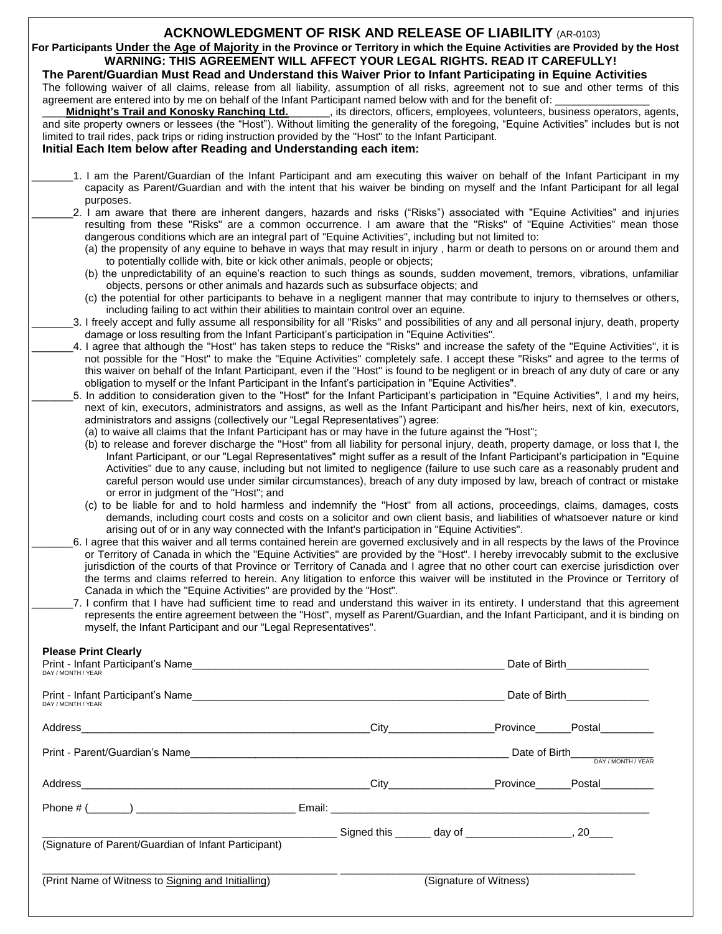| <b>ACKNOWLEDGMENT OF RISK AND RELEASE OF LIABILITY (AR-0103)</b><br>For Participants <u>Under the Age of Majority i</u> n the Province or Territory in which the Equine Activities are Provided by the Host<br><b>WARNING: THIS AGREEMENT WILL AFFECT YOUR LEGAL RIGHTS. READ IT CAREFULLY!</b><br>The Parent/Guardian Must Read and Understand this Waiver Prior to Infant Participating in Equine Activities<br>The following waiver of all claims, release from all liability, assumption of all risks, agreement not to sue and other terms of this<br>agreement are entered into by me on behalf of the Infant Participant named below with and for the benefit of:<br>Midnight's Trail and Konosky Ranching Ltd. This directors, officers, employees, volunteers, business operators, agents,<br>and site property owners or lessees (the "Host"). Without limiting the generality of the foregoing, "Equine Activities" includes but is not<br>limited to trail rides, pack trips or riding instruction provided by the "Host" to the Infant Participant.<br>Initial Each Item below after Reading and Understanding each item: |               |          |                                  |
|----------------------------------------------------------------------------------------------------------------------------------------------------------------------------------------------------------------------------------------------------------------------------------------------------------------------------------------------------------------------------------------------------------------------------------------------------------------------------------------------------------------------------------------------------------------------------------------------------------------------------------------------------------------------------------------------------------------------------------------------------------------------------------------------------------------------------------------------------------------------------------------------------------------------------------------------------------------------------------------------------------------------------------------------------------------------------------------------------------------------------------------|---------------|----------|----------------------------------|
| 1. I am the Parent/Guardian of the Infant Participant and am executing this waiver on behalf of the Infant Participant in my<br>capacity as Parent/Guardian and with the intent that his waiver be binding on myself and the Infant Participant for all legal                                                                                                                                                                                                                                                                                                                                                                                                                                                                                                                                                                                                                                                                                                                                                                                                                                                                          |               |          |                                  |
| purposes.<br>2. I am aware that there are inherent dangers, hazards and risks ("Risks") associated with "Equine Activities" and injuries<br>resulting from these "Risks" are a common occurrence. I am aware that the "Risks" of "Equine Activities" mean those<br>dangerous conditions which are an integral part of "Equine Activities", including but not limited to:<br>(a) the propensity of any equine to behave in ways that may result in injury, harm or death to persons on or around them and<br>to potentially collide with, bite or kick other animals, people or objects;<br>(b) the unpredictability of an equine's reaction to such things as sounds, sudden movement, tremors, vibrations, unfamiliar<br>objects, persons or other animals and hazards such as subsurface objects; and                                                                                                                                                                                                                                                                                                                                |               |          |                                  |
| (c) the potential for other participants to behave in a negligent manner that may contribute to injury to themselves or others,<br>including failing to act within their abilities to maintain control over an equine.<br>3. I freely accept and fully assume all responsibility for all "Risks" and possibilities of any and all personal injury, death, property                                                                                                                                                                                                                                                                                                                                                                                                                                                                                                                                                                                                                                                                                                                                                                     |               |          |                                  |
| damage or loss resulting from the Infant Participant's participation in "Equine Activities".<br>4. I agree that although the "Host" has taken steps to reduce the "Risks" and increase the safety of the "Equine Activities", it is<br>not possible for the "Host" to make the "Equine Activities" completely safe. I accept these "Risks" and agree to the terms of<br>this waiver on behalf of the Infant Participant, even if the "Host" is found to be negligent or in breach of any duty of care or any<br>obligation to myself or the Infant Participant in the Infant's participation in "Equine Activities".                                                                                                                                                                                                                                                                                                                                                                                                                                                                                                                   |               |          |                                  |
| 5. In addition to consideration given to the "Host" for the Infant Participant's participation in "Equine Activities", I and my heirs,<br>next of kin, executors, administrators and assigns, as well as the Infant Participant and his/her heirs, next of kin, executors,<br>administrators and assigns (collectively our "Legal Representatives") agree:                                                                                                                                                                                                                                                                                                                                                                                                                                                                                                                                                                                                                                                                                                                                                                             |               |          |                                  |
| (a) to waive all claims that the Infant Participant has or may have in the future against the "Host";<br>(b) to release and forever discharge the "Host" from all liability for personal injury, death, property damage, or loss that I, the<br>Infant Participant, or our "Legal Representatives" might suffer as a result of the Infant Participant's participation in "Equine<br>Activities" due to any cause, including but not limited to negligence (failure to use such care as a reasonably prudent and<br>careful person would use under similar circumstances), breach of any duty imposed by law, breach of contract or mistake<br>or error in judgment of the "Host"; and                                                                                                                                                                                                                                                                                                                                                                                                                                                  |               |          |                                  |
| (c) to be liable for and to hold harmless and indemnify the "Host" from all actions, proceedings, claims, damages, costs<br>demands, including court costs and costs on a solicitor and own client basis, and liabilities of whatsoever nature or kind<br>arising out of or in any way connected with the Infant's participation in "Equine Activities".                                                                                                                                                                                                                                                                                                                                                                                                                                                                                                                                                                                                                                                                                                                                                                               |               |          |                                  |
| 6. I agree that this waiver and all terms contained herein are governed exclusively and in all respects by the laws of the Province<br>or Territory of Canada in which the "Equine Activities" are provided by the "Host". I hereby irrevocably submit to the exclusive<br>jurisdiction of the courts of that Province or Territory of Canada and I agree that no other court can exercise jurisdiction over<br>the terms and claims referred to herein. Any litigation to enforce this waiver will be instituted in the Province or Territory of<br>Canada in which the "Equine Activities" are provided by the "Host".                                                                                                                                                                                                                                                                                                                                                                                                                                                                                                               |               |          |                                  |
| 7. I confirm that I have had sufficient time to read and understand this waiver in its entirety. I understand that this agreement<br>represents the entire agreement between the "Host", myself as Parent/Guardian, and the Infant Participant, and it is binding on<br>myself, the Infant Participant and our "Legal Representatives".                                                                                                                                                                                                                                                                                                                                                                                                                                                                                                                                                                                                                                                                                                                                                                                                |               |          |                                  |
| <b>Please Print Clearly</b><br>Print - Infant Participant's Name<br><u> 1980 - Johann Barbara, martxa alemaniar amerikan basar da a</u><br>DAY / MONTH / YEAR                                                                                                                                                                                                                                                                                                                                                                                                                                                                                                                                                                                                                                                                                                                                                                                                                                                                                                                                                                          |               |          | Date of Birth <b>Exercise 19</b> |
| DAY / MONTH / YEAR                                                                                                                                                                                                                                                                                                                                                                                                                                                                                                                                                                                                                                                                                                                                                                                                                                                                                                                                                                                                                                                                                                                     |               |          | Date of Birth <b>Exercise 20</b> |
|                                                                                                                                                                                                                                                                                                                                                                                                                                                                                                                                                                                                                                                                                                                                                                                                                                                                                                                                                                                                                                                                                                                                        | $\text{City}$ | Province | Postal <b>Postal</b>             |

Print - Parent/Guardian's Name\_\_\_\_\_\_\_\_\_\_\_\_\_\_\_\_\_\_\_\_\_\_\_\_\_\_\_\_\_\_\_\_\_\_\_\_\_\_\_\_\_\_\_\_\_\_\_\_\_\_\_\_\_\_ Date of Birth\_\_\_\_\_\_\_\_\_\_\_\_\_\_ DAY / MONTH / YEAR Address\_\_\_\_\_\_\_\_\_\_\_\_\_\_\_\_\_\_\_\_\_\_\_\_\_\_\_\_\_\_\_\_\_\_\_\_\_\_\_\_\_\_\_\_\_\_\_\_\_City\_\_\_\_\_\_\_\_\_\_\_\_\_\_\_\_\_\_Province\_\_\_\_\_\_Postal\_\_\_\_\_\_\_\_\_ Phone # (\_\_\_\_\_\_\_) \_\_\_\_\_\_\_\_\_\_\_\_\_\_\_\_\_\_\_\_\_\_\_\_\_\_\_ Email: \_\_\_\_\_\_\_\_\_\_\_\_\_\_\_\_\_\_\_\_\_\_\_\_\_\_\_\_\_\_\_\_\_\_\_\_\_\_\_\_\_\_\_\_\_\_\_\_\_\_\_\_\_\_

\_\_\_\_\_\_\_\_\_\_\_\_\_\_\_\_\_\_\_\_\_\_\_\_\_\_\_\_\_\_\_\_\_\_\_\_\_\_\_\_\_\_\_\_\_\_\_\_\_\_ Signed this \_\_\_\_\_\_ day of \_\_\_\_\_\_\_\_\_\_\_\_\_\_\_\_\_\_, 20\_\_\_\_ (Signature of Parent/Guardian of Infant Participant)

\_\_\_\_\_\_\_\_\_\_\_\_\_\_\_\_\_\_\_\_\_\_\_\_\_\_\_\_\_\_\_\_\_\_\_\_\_\_\_\_\_\_\_\_\_\_\_\_\_\_ \_\_\_\_\_\_\_\_\_\_\_\_\_\_\_\_\_\_\_\_\_\_\_\_\_\_\_\_\_\_\_\_\_\_\_\_\_\_\_\_\_\_\_\_\_\_\_\_\_\_ (Print Name of Witness to Signing and Initialling) (Signature of Witness)